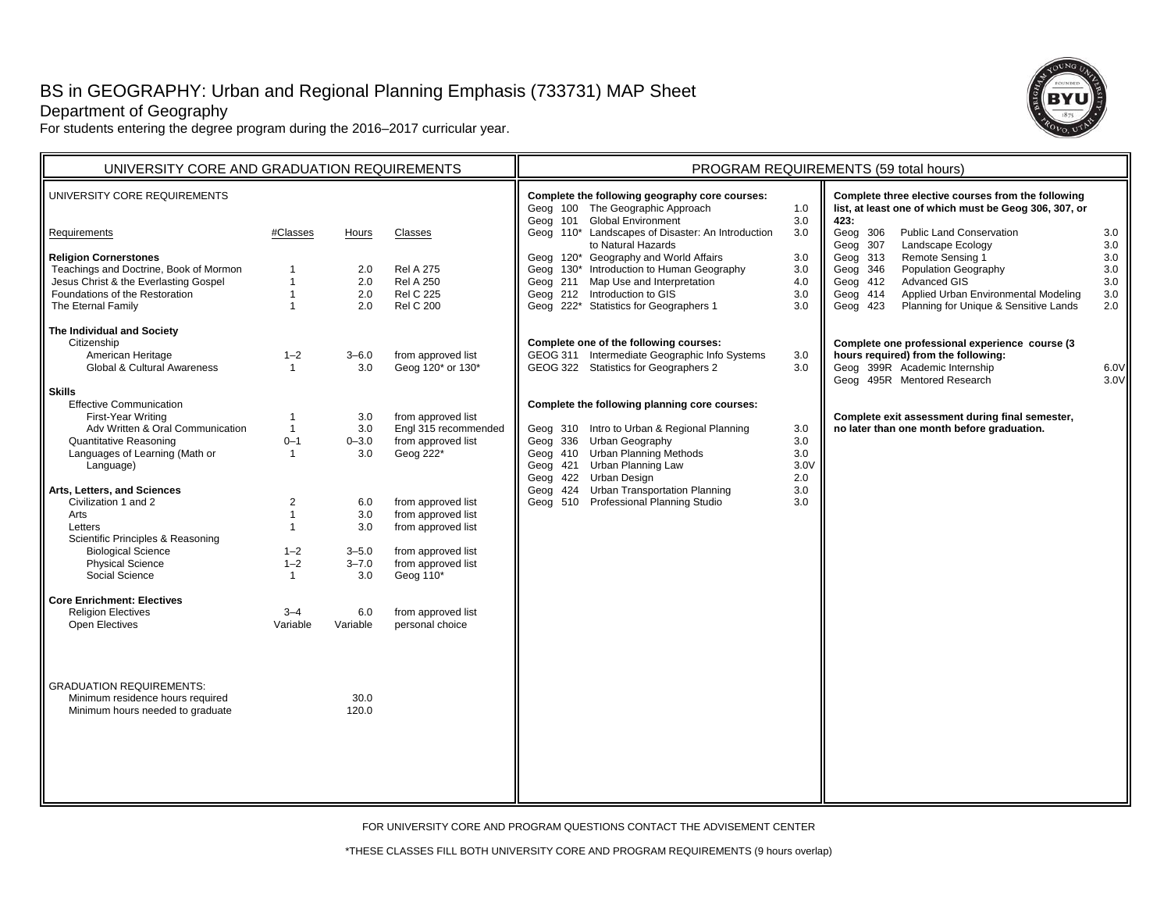# BS in GEOGRAPHY: Urban and Regional Planning Emphasis (733731) MAP Sheet

**Hours** 

2.0

3–6.03.0

3.03.00–3.03.0

6.0 3.0 3.03–5.0 $3 - 7.0$ 3.0

6.0Variable

> 30.0120.0

 2.0 Rel A 250 2.0 Rel C 2252.0 Rel C 200

Classes

Rel A 275

from approved list Geog 120\* or 130\*

from approved list Engl 315 recommended from approved list Geog  $222^*$ 

from approved list from approved list from approved list from approved list from approved list Geog $110^*$ 

from approved list personal choice

UNIVERSITY CORE AND GRADUATION REQUIREMENTS  $\|\cdot\|$  program r

Department of Geography

UNIVERSITY CORE REQUIREMENTS

 Teachings and Doctrine, Book of Mormon Jesus Christ & the Everlasting Gospel Foundations of the Restoration

**Requirements** 

**Skills**

ArtsLetters

**Religion Cornerstones**

**The Individual and Society** Citizenship

> American Heritage Global & Cultural Awareness

Effective CommunicationFirst-Year Writing

Quantitative Reasoning

Language) **Arts, Letters, and Sciences** Civilization 1 and 2

Adv Written & Oral Communication

Languages of Learning (Math or

 Scientific Principles & Reasoning Biological Science Physical Science Social Science**Core Enrichment: Electives**Religion Electives Open Electives

GRADUATION REQUIREMENTS: Minimum residence hours required Minimum hours needed to graduate

The Eternal Family

For students entering the degree program during the 2016–2017 curricular year.

#Classes

 $1 - 2$ 1

3–4Variable

| (733731) MAP Sheet                                                   |                                                                                                                                                                                                                                                                                                                                                                                 |                                                      |                                                                                                                                                                                                                                                                                                                                                                                                                           |                                               |  |  |  |  |  |
|----------------------------------------------------------------------|---------------------------------------------------------------------------------------------------------------------------------------------------------------------------------------------------------------------------------------------------------------------------------------------------------------------------------------------------------------------------------|------------------------------------------------------|---------------------------------------------------------------------------------------------------------------------------------------------------------------------------------------------------------------------------------------------------------------------------------------------------------------------------------------------------------------------------------------------------------------------------|-----------------------------------------------|--|--|--|--|--|
| PROGRAM REQUIREMENTS (59 total hours)                                |                                                                                                                                                                                                                                                                                                                                                                                 |                                                      |                                                                                                                                                                                                                                                                                                                                                                                                                           |                                               |  |  |  |  |  |
| Geog 101<br>Geog 211<br>Geog 212                                     | Complete the following geography core courses:<br>Geog 100 The Geographic Approach<br><b>Global Environment</b><br>Geog 110* Landscapes of Disaster: An Introduction<br>to Natural Hazards<br>Geog 120* Geography and World Affairs<br>Geog 130* Introduction to Human Geography<br>Map Use and Interpretation<br>Introduction to GIS<br>Geog 222* Statistics for Geographers 1 | 1.0<br>3.0<br>3.0<br>3.0<br>3.0<br>4.0<br>3.0<br>3.0 | Complete three elective courses from the following<br>list, at least one of which must be Geog 306, 307, or<br>423:<br>Geog 306<br><b>Public Land Conservation</b><br>Geog 307<br>Landscape Ecology<br>Geog 313<br>Remote Sensing 1<br>Geog 346<br>Population Geography<br><b>Advanced GIS</b><br>412<br>Geog<br>414<br>Applied Urban Environmental Modeling<br>Geog<br>Planning for Unique & Sensitive Lands<br>Geog 423 | 3.0<br>3.0<br>3.0<br>3.0<br>3.0<br>3.0<br>2.0 |  |  |  |  |  |
|                                                                      | Complete one of the following courses:<br>GEOG 311 Intermediate Geographic Info Systems<br>GEOG 322 Statistics for Geographers 2                                                                                                                                                                                                                                                | 3.0<br>3.0                                           | Complete one professional experience course (3<br>hours required) from the following:<br>Geog 399R Academic Internship<br>Geog 495R Mentored Research                                                                                                                                                                                                                                                                     | 6.0V<br>3.0V                                  |  |  |  |  |  |
| Geog 336<br>Geog 410<br>Geog 421<br>Geog 422<br>Geog 424<br>Geog 510 | Complete the following planning core courses:<br>Geog 310 Intro to Urban & Regional Planning<br>Urban Geography<br><b>Urban Planning Methods</b><br>Urban Planning Law<br>Urban Design<br><b>Urban Transportation Planning</b><br>Professional Planning Studio                                                                                                                  | 3.0<br>3.0<br>3.0<br>3.0V<br>2.0<br>3.0<br>3.0       | Complete exit assessment during final semester,<br>no later than one month before graduation.                                                                                                                                                                                                                                                                                                                             |                                               |  |  |  |  |  |

FOR UNIVERSITY CORE AND PROGRAM QUESTIONS CONTACT THE ADVISEMENT CENTER